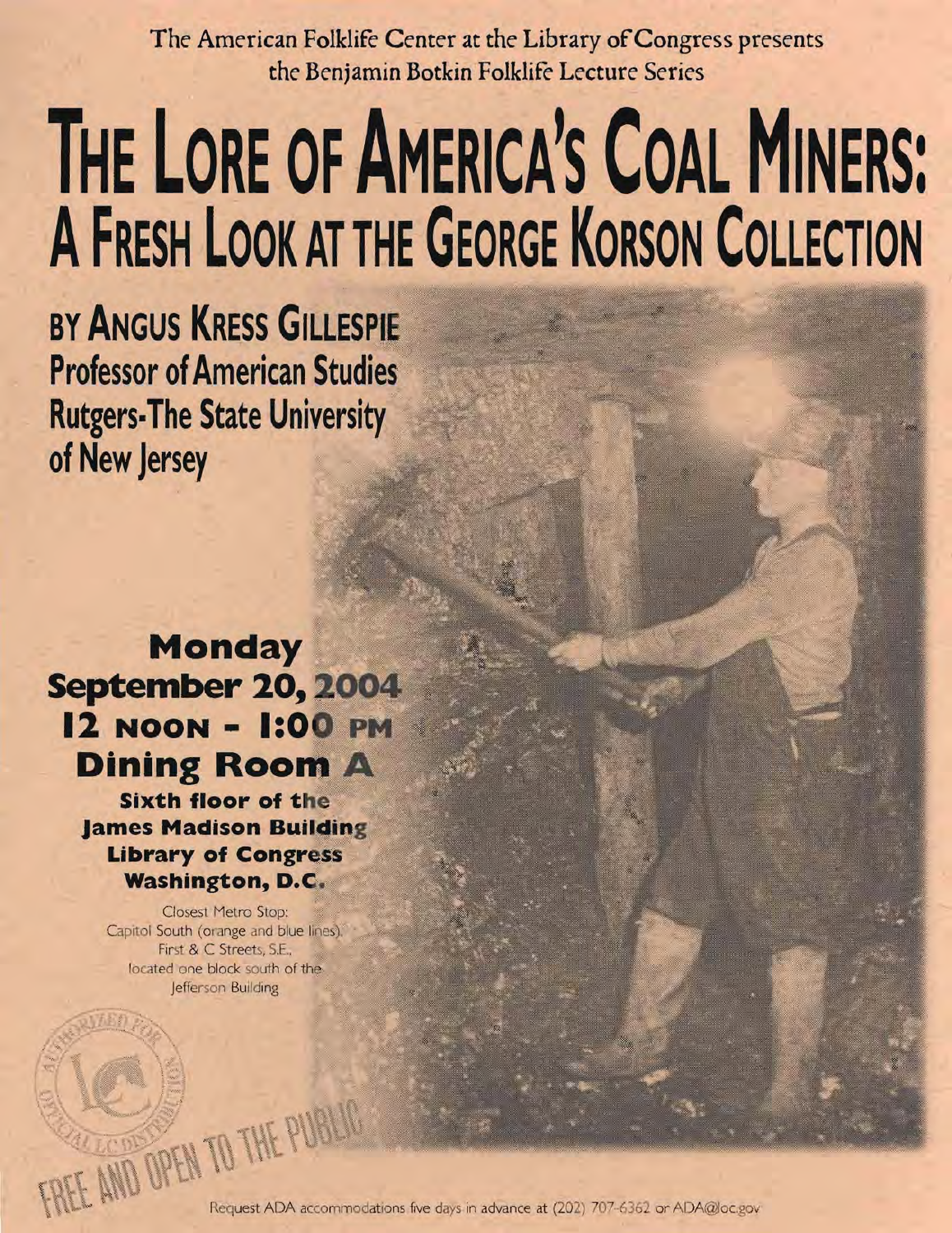The American Folklife Center at the Library of Congress presents **the Ben;amin Botkin Folklife Lecture Series** 

## **THE LORE OF AMERICA'S COAL MINERS: AFRESH LOOK AT THE GEORGE KORSON COLLECTION**

BY ANGUS **KRESS GILLESF Professor of American Studies Rutgers-The State University of New Jersey** 

## **Monday September 20, 12 NOON - 1:0 Dining Room A**

**Sixth floor of the James Madison Building Library of Cong Washington, D.** 

Closest Metro Stop: Capitol South (orange and blue lines), First & C Streets, S.E., located one block south of the Jefferson Building

> $\gamma$  . The  $\gamma$  $\hat{I}$

 $\boxtimes$   $\blacksquare$ 

241 100 0  $\overline{MN}$